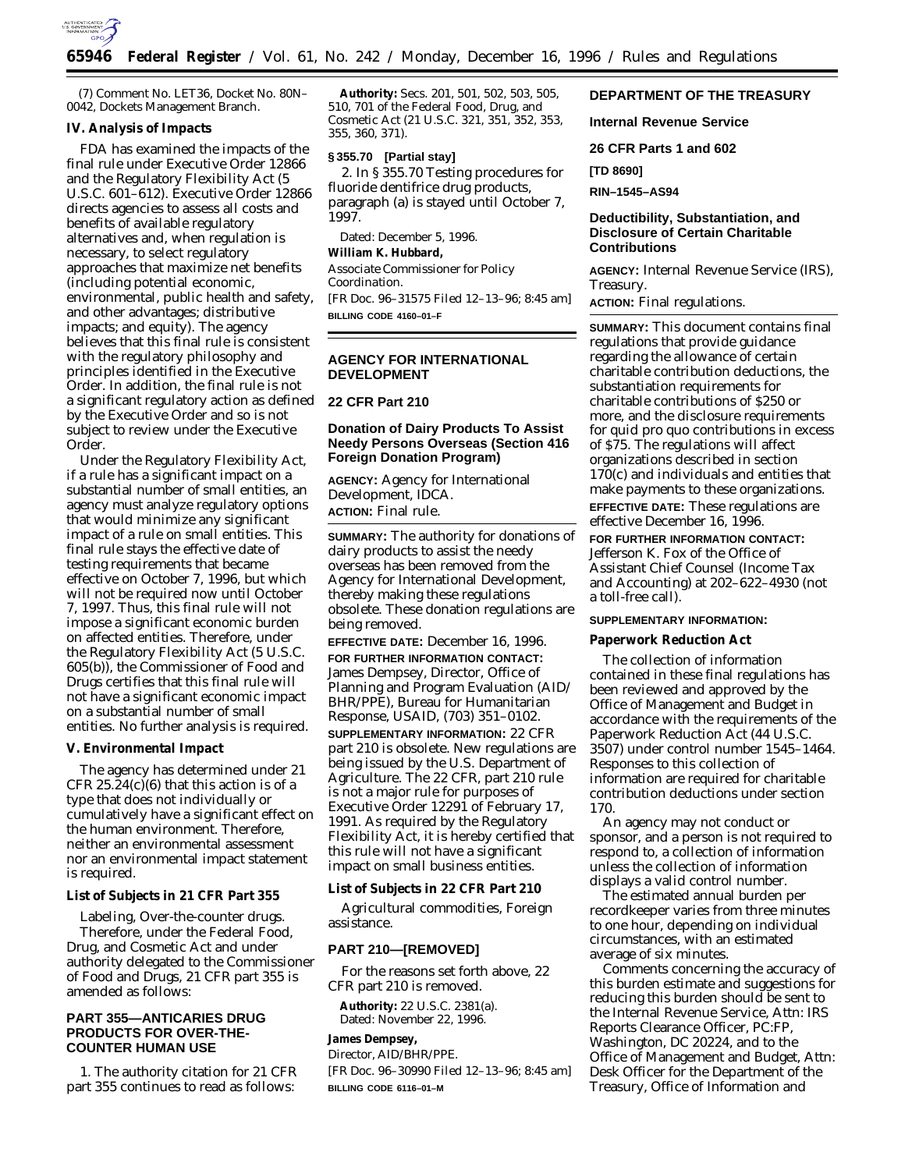

(7) Comment No. LET36, Docket No. 80N– 0042, Dockets Management Branch.

## **IV. Analysis of Impacts**

FDA has examined the impacts of the final rule under Executive Order 12866 and the Regulatory Flexibility Act (5 U.S.C. 601–612). Executive Order 12866 directs agencies to assess all costs and benefits of available regulatory alternatives and, when regulation is necessary, to select regulatory approaches that maximize net benefits (including potential economic, environmental, public health and safety, and other advantages; distributive impacts; and equity). The agency believes that this final rule is consistent with the regulatory philosophy and principles identified in the Executive Order. In addition, the final rule is not a significant regulatory action as defined by the Executive Order and so is not subject to review under the Executive Order.

Under the Regulatory Flexibility Act, if a rule has a significant impact on a substantial number of small entities, an agency must analyze regulatory options that would minimize any significant impact of a rule on small entities. This final rule stays the effective date of testing requirements that became effective on October 7, 1996, but which will not be required now until October 7, 1997. Thus, this final rule will not impose a significant economic burden on affected entities. Therefore, under the Regulatory Flexibility Act (5 U.S.C. 605(b)), the Commissioner of Food and Drugs certifies that this final rule will not have a significant economic impact on a substantial number of small entities. No further analysis is required.

#### **V. Environmental Impact**

The agency has determined under 21 CFR 25.24 $(c)(6)$  that this action is of a type that does not individually or cumulatively have a significant effect on the human environment. Therefore, neither an environmental assessment nor an environmental impact statement is required.

#### **List of Subjects in 21 CFR Part 355**

Labeling, Over-the-counter drugs. Therefore, under the Federal Food, Drug, and Cosmetic Act and under authority delegated to the Commissioner of Food and Drugs, 21 CFR part 355 is amended as follows:

# **PART 355—ANTICARIES DRUG PRODUCTS FOR OVER-THE-COUNTER HUMAN USE**

1. The authority citation for 21 CFR part 355 continues to read as follows:

**Authority:** Secs. 201, 501, 502, 503, 505, 510, 701 of the Federal Food, Drug, and Cosmetic Act (21 U.S.C. 321, 351, 352, 353, 355, 360, 371).

# **§ 355.70 [Partial stay]**

2. In § 355.70 *Testing procedures for fluoride dentifrice drug products*, paragraph (a) is stayed until October 7, 1997.

Dated: December 5, 1996. **William K. Hubbard,** *Associate Commissioner for Policy Coordination.* [FR Doc. 96–31575 Filed 12–13–96; 8:45 am] **BILLING CODE 4160–01–F**

# **AGENCY FOR INTERNATIONAL DEVELOPMENT**

# **22 CFR Part 210**

# **Donation of Dairy Products To Assist Needy Persons Overseas (Section 416 Foreign Donation Program)**

**AGENCY:** Agency for International Development, IDCA. **ACTION:** Final rule.

**SUMMARY:** The authority for donations of dairy products to assist the needy overseas has been removed from the Agency for International Development, thereby making these regulations obsolete. These donation regulations are being removed.

**EFFECTIVE DATE:** December 16, 1996. **FOR FURTHER INFORMATION CONTACT:** James Dempsey, Director, Office of Planning and Program Evaluation (AID/ BHR/PPE), Bureau for Humanitarian Response, USAID, (703) 351–0102. **SUPPLEMENTARY INFORMATION:** 22 CFR part 210 is obsolete. New regulations are being issued by the U.S. Department of Agriculture. The 22 CFR, part 210 rule is not a major rule for purposes of Executive Order 12291 of February 17, 1991. As required by the Regulatory Flexibility Act, it is hereby certified that this rule will not have a significant impact on small business entities.

**List of Subjects in 22 CFR Part 210**

Agricultural commodities, Foreign assistance.

### **PART 210—[REMOVED]**

For the reasons set forth above, 22 CFR part 210 is removed.

**Authority:** 22 U.S.C. 2381(a). Dated: November 22, 1996.

**James Dempsey,**

*Director, AID/BHR/PPE.*

[FR Doc. 96–30990 Filed 12–13–96; 8:45 am] **BILLING CODE 6116–01–M**

# **DEPARTMENT OF THE TREASURY**

**Internal Revenue Service**

**26 CFR Parts 1 and 602**

**[TD 8690]**

**RIN–1545–AS94**

# **Deductibility, Substantiation, and Disclosure of Certain Charitable Contributions**

**AGENCY:** Internal Revenue Service (IRS), Treasury.

**ACTION:** Final regulations.

**SUMMARY:** This document contains final regulations that provide guidance regarding the allowance of certain charitable contribution deductions, the substantiation requirements for charitable contributions of \$250 or more, and the disclosure requirements for quid pro quo contributions in excess of \$75. The regulations will affect organizations described in section 170(c) and individuals and entities that make payments to these organizations. **EFFECTIVE DATE:** These regulations are effective December 16, 1996. **FOR FURTHER INFORMATION CONTACT:** Jefferson K. Fox of the Office of Assistant Chief Counsel (Income Tax and Accounting) at 202–622–4930 (not a toll-free call).

### **SUPPLEMENTARY INFORMATION:**

**Paperwork Reduction Act**

The collection of information contained in these final regulations has been reviewed and approved by the Office of Management and Budget in accordance with the requirements of the Paperwork Reduction Act (44 U.S.C. 3507) under control number 1545–1464. Responses to this collection of information are required for charitable contribution deductions under section 170.

An agency may not conduct or sponsor, and a person is not required to respond to, a collection of information unless the collection of information displays a valid control number.

The estimated annual burden per recordkeeper varies from three minutes to one hour, depending on individual circumstances, with an estimated average of six minutes.

Comments concerning the accuracy of this burden estimate and suggestions for reducing this burden should be sent to the Internal Revenue Service, Attn: IRS Reports Clearance Officer, PC:FP, Washington, DC 20224, and to the Office of Management and Budget, Attn: Desk Officer for the Department of the Treasury, Office of Information and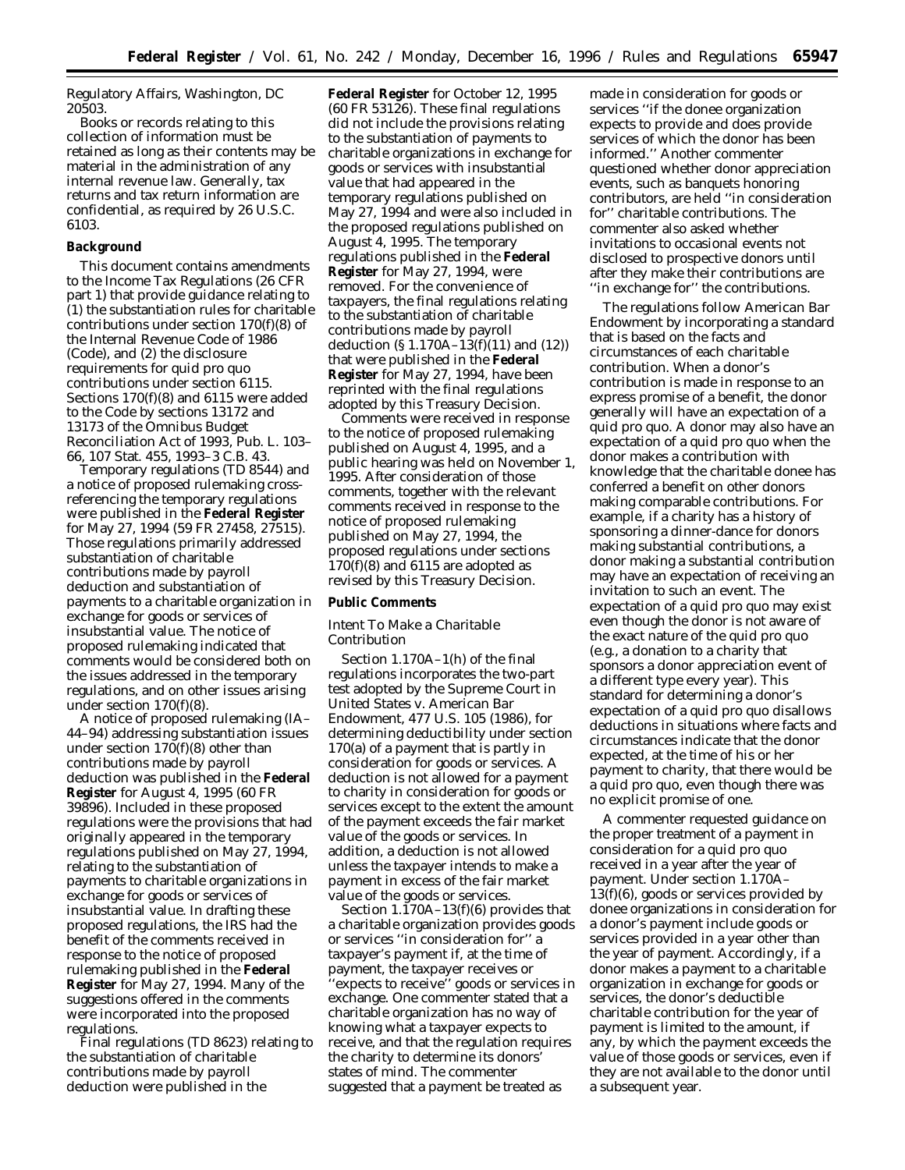Regulatory Affairs, Washington, DC 20503.

Books or records relating to this collection of information must be retained as long as their contents may be material in the administration of any internal revenue law. Generally, tax returns and tax return information are confidential, as required by 26 U.S.C. 6103.

## **Background**

This document contains amendments to the Income Tax Regulations (26 CFR part 1) that provide guidance relating to (1) the substantiation rules for charitable contributions under section 170(f)(8) of the Internal Revenue Code of 1986 (Code), and (2) the disclosure requirements for quid pro quo contributions under section 6115. Sections 170(f)(8) and 6115 were added to the Code by sections 13172 and 13173 of the Omnibus Budget Reconciliation Act of 1993, Pub. L. 103– 66, 107 Stat. 455, 1993–3 C.B. 43.

Temporary regulations (TD 8544) and a notice of proposed rulemaking crossreferencing the temporary regulations were published in the **Federal Register** for May 27, 1994 (59 FR 27458, 27515). Those regulations primarily addressed substantiation of charitable contributions made by payroll deduction and substantiation of payments to a charitable organization in exchange for goods or services of insubstantial value. The notice of proposed rulemaking indicated that comments would be considered both on the issues addressed in the temporary regulations, and on other issues arising under section 170(f)(8).

A notice of proposed rulemaking (IA– 44–94) addressing substantiation issues under section 170(f)(8) other than contributions made by payroll deduction was published in the **Federal Register** for August 4, 1995 (60 FR 39896). Included in these proposed regulations were the provisions that had originally appeared in the temporary regulations published on May 27, 1994, relating to the substantiation of payments to charitable organizations in exchange for goods or services of insubstantial value. In drafting these proposed regulations, the IRS had the benefit of the comments received in response to the notice of proposed rulemaking published in the **Federal Register** for May 27, 1994. Many of the suggestions offered in the comments were incorporated into the proposed regulations.

Final regulations (TD 8623) relating to the substantiation of charitable contributions made by payroll deduction were published in the

**Federal Register** for October 12, 1995 (60 FR 53126). These final regulations did not include the provisions relating to the substantiation of payments to charitable organizations in exchange for goods or services with insubstantial value that had appeared in the temporary regulations published on May 27, 1994 and were also included in the proposed regulations published on August 4, 1995. The temporary regulations published in the **Federal Register** for May 27, 1994, were removed. For the convenience of taxpayers, the final regulations relating to the substantiation of charitable contributions made by payroll deduction (§ 1.170A–13(f)(11) and (12)) that were published in the **Federal Register** for May 27, 1994, have been reprinted with the final regulations adopted by this Treasury Decision.

Comments were received in response to the notice of proposed rulemaking published on August 4, 1995, and a public hearing was held on November 1, 1995. After consideration of those comments, together with the relevant comments received in response to the notice of proposed rulemaking published on May 27, 1994, the proposed regulations under sections  $170(f)(8)$  and  $6115$  are adopted as revised by this Treasury Decision.

## **Public Comments**

# *Intent To Make a Charitable Contribution*

Section 1.170A–1(h) of the final regulations incorporates the two-part test adopted by the Supreme Court in *United States* v. *American Bar Endowment,* 477 U.S. 105 (1986), for determining deductibility under section 170(a) of a payment that is partly in consideration for goods or services. A deduction is not allowed for a payment to charity in consideration for goods or services except to the extent the amount of the payment exceeds the fair market value of the goods or services. In addition, a deduction is not allowed unless the taxpayer intends to make a payment in excess of the fair market value of the goods or services.

Section 1.170A–13(f)(6) provides that a charitable organization provides goods or services ''in consideration for'' a taxpayer's payment if, at the time of payment, the taxpayer receives or 'expects to receive'' goods or services in exchange. One commenter stated that a charitable organization has no way of knowing what a taxpayer expects to receive, and that the regulation requires the charity to determine its donors' states of mind. The commenter suggested that a payment be treated as

made in consideration for goods or services ''if the donee organization expects to provide and does provide services of which the donor has been informed.'' Another commenter questioned whether donor appreciation events, such as banquets honoring contributors, are held ''in consideration for'' charitable contributions. The commenter also asked whether invitations to occasional events not disclosed to prospective donors until after they make their contributions are ''in exchange for'' the contributions.

The regulations follow *American Bar Endowment* by incorporating a standard that is based on the facts and circumstances of each charitable contribution. When a donor's contribution is made in response to an express promise of a benefit, the donor generally will have an expectation of a quid pro quo. A donor may also have an expectation of a quid pro quo when the donor makes a contribution with knowledge that the charitable donee has conferred a benefit on other donors making comparable contributions. For example, if a charity has a history of sponsoring a dinner-dance for donors making substantial contributions, a donor making a substantial contribution may have an expectation of receiving an invitation to such an event. The expectation of a quid pro quo may exist even though the donor is not aware of the exact nature of the quid pro quo (e.g., a donation to a charity that sponsors a donor appreciation event of a different type every year). This standard for determining a donor's expectation of a quid pro quo disallows deductions in situations where facts and circumstances indicate that the donor expected, at the time of his or her payment to charity, that there would be a quid pro quo, even though there was no explicit promise of one.

A commenter requested guidance on the proper treatment of a payment in consideration for a quid pro quo received in a year after the year of payment. Under section 1.170A– 13(f)(6), goods or services provided by donee organizations in consideration for a donor's payment include goods or services provided in a year other than the year of payment. Accordingly, if a donor makes a payment to a charitable organization in exchange for goods or services, the donor's deductible charitable contribution for the year of payment is limited to the amount, if any, by which the payment exceeds the value of those goods or services, even if they are not available to the donor until a subsequent year.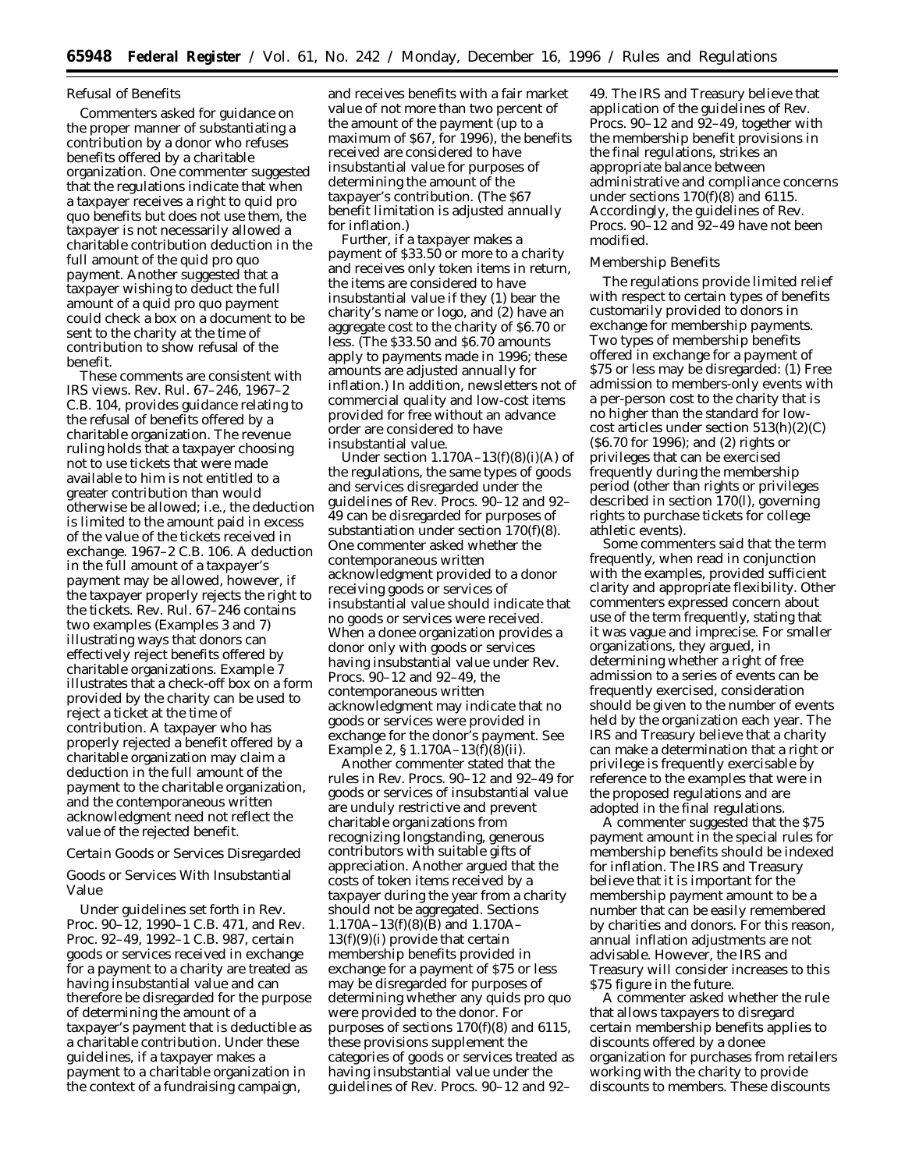#### *Refusal of Benefits*

Commenters asked for guidance on the proper manner of substantiating a contribution by a donor who refuses benefits offered by a charitable organization. One commenter suggested that the regulations indicate that when a taxpayer receives a right to quid pro quo benefits but does not use them, the taxpayer is not necessarily allowed a charitable contribution deduction in the full amount of the quid pro quo payment. Another suggested that a taxpayer wishing to deduct the full amount of a quid pro quo payment could check a box on a document to be sent to the charity at the time of contribution to show refusal of the benefit.

These comments are consistent with IRS views. Rev. Rul. 67–246, 1967–2 C.B. 104, provides guidance relating to the refusal of benefits offered by a charitable organization. The revenue ruling holds that a taxpayer choosing not to use tickets that were made available to him is not entitled to a greater contribution than would otherwise be allowed; i.e., the deduction is limited to the amount paid in excess of the value of the tickets received in exchange. 1967–2 C.B. 106. A deduction in the full amount of a taxpayer's payment may be allowed, however, if the taxpayer properly rejects the right to the tickets. Rev. Rul. 67–246 contains two examples (Examples 3 and 7) illustrating ways that donors can effectively reject benefits offered by charitable organizations. Example 7 illustrates that a check-off box on a form provided by the charity can be used to reject a ticket at the time of contribution. A taxpayer who has properly rejected a benefit offered by a charitable organization may claim a deduction in the full amount of the payment to the charitable organization, and the contemporaneous written acknowledgment need not reflect the value of the rejected benefit.

#### *Certain Goods or Services Disregarded*

Goods or Services With Insubstantial Value

Under guidelines set forth in Rev. Proc. 90–12, 1990–1 C.B. 471, and Rev. Proc. 92–49, 1992–1 C.B. 987, certain goods or services received in exchange for a payment to a charity are treated as having insubstantial value and can therefore be disregarded for the purpose of determining the amount of a taxpayer's payment that is deductible as a charitable contribution. Under these guidelines, if a taxpayer makes a payment to a charitable organization in the context of a fundraising campaign,

and receives benefits with a fair market value of not more than two percent of the amount of the payment (up to a maximum of \$67, for 1996), the benefits received are considered to have insubstantial value for purposes of determining the amount of the taxpayer's contribution. (The \$67 benefit limitation is adjusted annually for inflation.)

Further, if a taxpayer makes a payment of \$33.50 or more to a charity and receives only token items in return, the items are considered to have insubstantial value if they (1) bear the charity's name or logo, and (2) have an aggregate cost to the charity of \$6.70 or less. (The \$33.50 and \$6.70 amounts apply to payments made in 1996; these amounts are adjusted annually for inflation.) In addition, newsletters not of commercial quality and low-cost items provided for free without an advance order are considered to have insubstantial value.

Under section  $1.170A-13(f)(8)(i)(A)$  of the regulations, the same types of goods and services disregarded under the guidelines of Rev. Procs. 90–12 and 92– 49 can be disregarded for purposes of substantiation under section  $170(f)(8)$ . One commenter asked whether the contemporaneous written acknowledgment provided to a donor receiving goods or services of insubstantial value should indicate that no goods or services were received. When a donee organization provides a donor only with goods or services having insubstantial value under Rev. Procs. 90–12 and 92–49, the contemporaneous written acknowledgment may indicate that no goods or services were provided in exchange for the donor's payment. See Example 2, § 1.170A–13(f)(8)(ii).

Another commenter stated that the rules in Rev. Procs. 90–12 and 92–49 for goods or services of insubstantial value are unduly restrictive and prevent charitable organizations from recognizing longstanding, generous contributors with suitable gifts of appreciation. Another argued that the costs of token items received by a taxpayer during the year from a charity should not be aggregated. Sections 1.170A–13(f)(8)(B) and 1.170A– 13(f)(9)(i) provide that certain membership benefits provided in exchange for a payment of \$75 or less may be disregarded for purposes of determining whether any quids pro quo were provided to the donor. For purposes of sections 170(f)(8) and 6115, these provisions supplement the categories of goods or services treated as having insubstantial value under the guidelines of Rev. Procs. 90–12 and 92–

49. The IRS and Treasury believe that application of the guidelines of Rev. Procs. 90–12 and 92–49, together with the membership benefit provisions in the final regulations, strikes an appropriate balance between administrative and compliance concerns under sections 170(f)(8) and 6115. Accordingly, the guidelines of Rev. Procs. 90–12 and 92–49 have not been modified.

### Membership Benefits

The regulations provide limited relief with respect to certain types of benefits customarily provided to donors in exchange for membership payments. Two types of membership benefits offered in exchange for a payment of \$75 or less may be disregarded: (1) Free admission to members-only events with a per-person cost to the charity that is no higher than the standard for lowcost articles under section 513(h)(2)(C) (\$6.70 for 1996); and (2) rights or privileges that can be exercised frequently during the membership period (other than rights or privileges described in section 170(l), governing rights to purchase tickets for college athletic events).

Some commenters said that the term *frequently,* when read in conjunction with the examples, provided sufficient clarity and appropriate flexibility. Other commenters expressed concern about use of the term *frequently,* stating that it was vague and imprecise. For smaller organizations, they argued, in determining whether a right of free admission to a series of events can be frequently exercised, consideration should be given to the number of events held by the organization each year. The IRS and Treasury believe that a charity can make a determination that a right or privilege is frequently exercisable by reference to the examples that were in the proposed regulations and are adopted in the final regulations.

A commenter suggested that the \$75 payment amount in the special rules for membership benefits should be indexed for inflation. The IRS and Treasury believe that it is important for the membership payment amount to be a number that can be easily remembered by charities and donors. For this reason, annual inflation adjustments are not advisable. However, the IRS and Treasury will consider increases to this \$75 figure in the future.

A commenter asked whether the rule that allows taxpayers to disregard certain membership benefits applies to discounts offered by a donee organization for purchases from retailers working with the charity to provide discounts to members. These discounts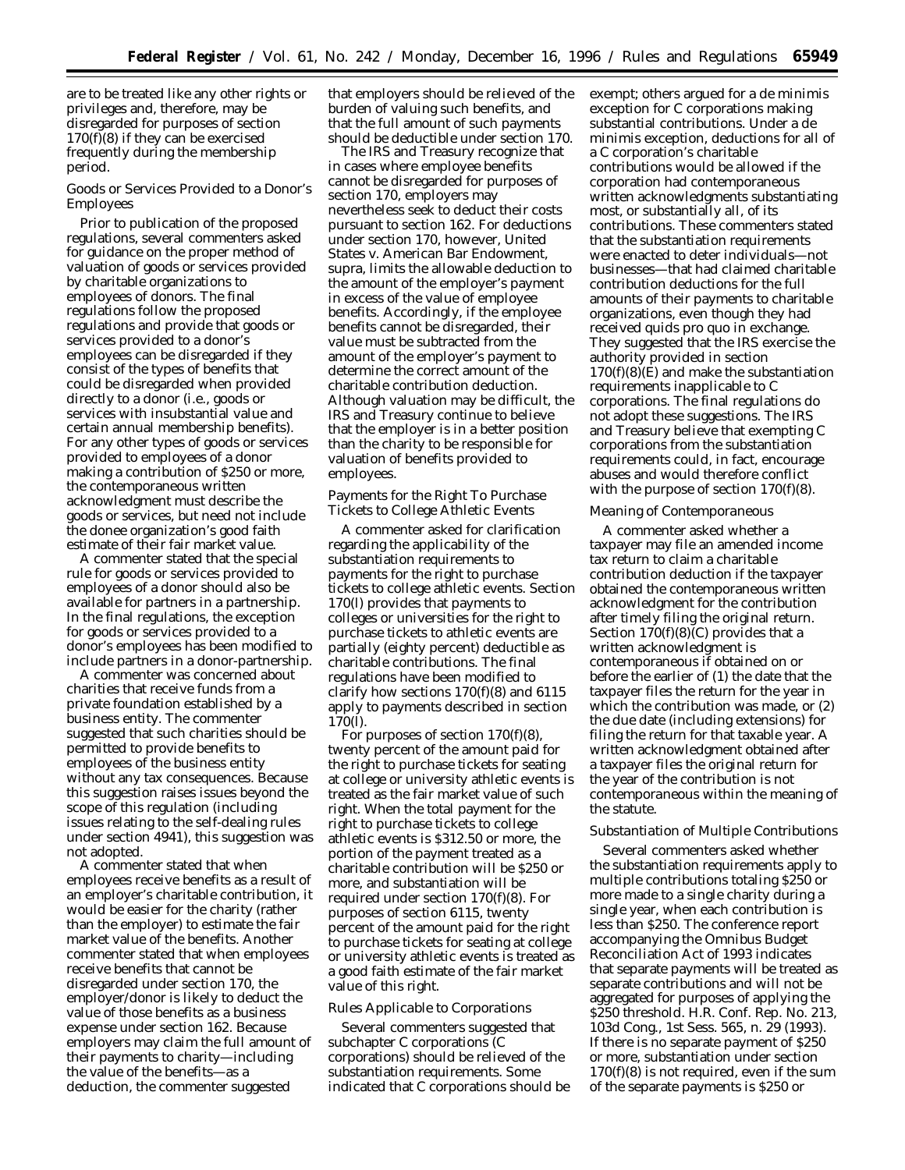are to be treated like any other rights or privileges and, therefore, may be disregarded for purposes of section 170(f)(8) if they can be exercised frequently during the membership period.

Goods or Services Provided to a Donor's Employees

Prior to publication of the proposed regulations, several commenters asked for guidance on the proper method of valuation of goods or services provided by charitable organizations to employees of donors. The final regulations follow the proposed regulations and provide that goods or services provided to a donor's employees can be disregarded if they consist of the types of benefits that could be disregarded when provided directly to a donor (i.e., goods or services with insubstantial value and certain annual membership benefits). For any other types of goods or services provided to employees of a donor making a contribution of \$250 or more, the contemporaneous written acknowledgment must describe the goods or services, but need not include the donee organization's good faith estimate of their fair market value.

A commenter stated that the special rule for goods or services provided to employees of a donor should also be available for partners in a partnership. In the final regulations, the exception for goods or services provided to a donor's employees has been modified to include partners in a donor-partnership.

A commenter was concerned about charities that receive funds from a private foundation established by a business entity. The commenter suggested that such charities should be permitted to provide benefits to employees of the business entity without any tax consequences. Because this suggestion raises issues beyond the scope of this regulation (including issues relating to the self-dealing rules under section 4941), this suggestion was not adopted.

A commenter stated that when employees receive benefits as a result of an employer's charitable contribution, it would be easier for the charity (rather than the employer) to estimate the fair market value of the benefits. Another commenter stated that when employees receive benefits that cannot be disregarded under section 170, the employer/donor is likely to deduct the value of those benefits as a business expense under section 162. Because employers may claim the full amount of their payments to charity—including the value of the benefits—as a deduction, the commenter suggested

that employers should be relieved of the burden of valuing such benefits, and that the full amount of such payments should be deductible under section 170.

The IRS and Treasury recognize that in cases where employee benefits cannot be disregarded for purposes of section 170, employers may nevertheless seek to deduct their costs pursuant to section 162. For deductions under section 170, however, *United States v. American Bar Endowment*, supra, limits the allowable deduction to the amount of the employer's payment in excess of the value of employee benefits. Accordingly, if the employee benefits cannot be disregarded, their value must be subtracted from the amount of the employer's payment to determine the correct amount of the charitable contribution deduction. Although valuation may be difficult, the IRS and Treasury continue to believe that the employer is in a better position than the charity to be responsible for valuation of benefits provided to employees.

Payments for the Right To Purchase Tickets to College Athletic Events

A commenter asked for clarification regarding the applicability of the substantiation requirements to payments for the right to purchase tickets to college athletic events. Section 170(l) provides that payments to colleges or universities for the right to purchase tickets to athletic events are partially (eighty percent) deductible as charitable contributions. The final regulations have been modified to clarify how sections 170(f)(8) and 6115 apply to payments described in section 170(l).

For purposes of section  $170(f)(8)$ , twenty percent of the amount paid for the right to purchase tickets for seating at college or university athletic events is treated as the fair market value of such right. When the total payment for the right to purchase tickets to college athletic events is \$312.50 or more, the portion of the payment treated as a charitable contribution will be \$250 or more, and substantiation will be required under section 170(f)(8). For purposes of section 6115, twenty percent of the amount paid for the right to purchase tickets for seating at college or university athletic events is treated as a good faith estimate of the fair market value of this right.

#### *Rules Applicable to Corporations*

Several commenters suggested that subchapter C corporations (C corporations) should be relieved of the substantiation requirements. Some indicated that C corporations should be exempt; others argued for a de minimis exception for C corporations making substantial contributions. Under a de minimis exception, deductions for all of a C corporation's charitable contributions would be allowed if the corporation had contemporaneous written acknowledgments substantiating most, or substantially all, of its contributions. These commenters stated that the substantiation requirements were enacted to deter individuals—not businesses—that had claimed charitable contribution deductions for the full amounts of their payments to charitable organizations, even though they had received quids pro quo in exchange. They suggested that the IRS exercise the authority provided in section  $170(f)(8)(E)$  and make the substantiation requirements inapplicable to C corporations. The final regulations do not adopt these suggestions. The IRS and Treasury believe that exempting C corporations from the substantiation requirements could, in fact, encourage abuses and would therefore conflict with the purpose of section 170(f)(8).

## *Meaning of Contemporaneous*

A commenter asked whether a taxpayer may file an amended income tax return to claim a charitable contribution deduction if the taxpayer obtained the contemporaneous written acknowledgment for the contribution after timely filing the original return. Section  $170(f)(8)(C)$  provides that a written acknowledgment is contemporaneous if obtained on or before the earlier of (1) the date that the taxpayer files the return for the year in which the contribution was made, or (2) the due date (including extensions) for filing the return for that taxable year. A written acknowledgment obtained after a taxpayer files the original return for the year of the contribution is not *contemporaneous* within the meaning of the statute.

## *Substantiation of Multiple Contributions*

Several commenters asked whether the substantiation requirements apply to multiple contributions totaling \$250 or more made to a single charity during a single year, when each contribution is less than \$250. The conference report accompanying the Omnibus Budget Reconciliation Act of 1993 indicates that separate payments will be treated as separate contributions and will not be aggregated for purposes of applying the \$250 threshold. H.R. Conf. Rep. No. 213, 103d Cong., 1st Sess. 565, n. 29 (1993). If there is no separate payment of \$250 or more, substantiation under section 170(f)(8) is not required, even if the sum of the separate payments is \$250 or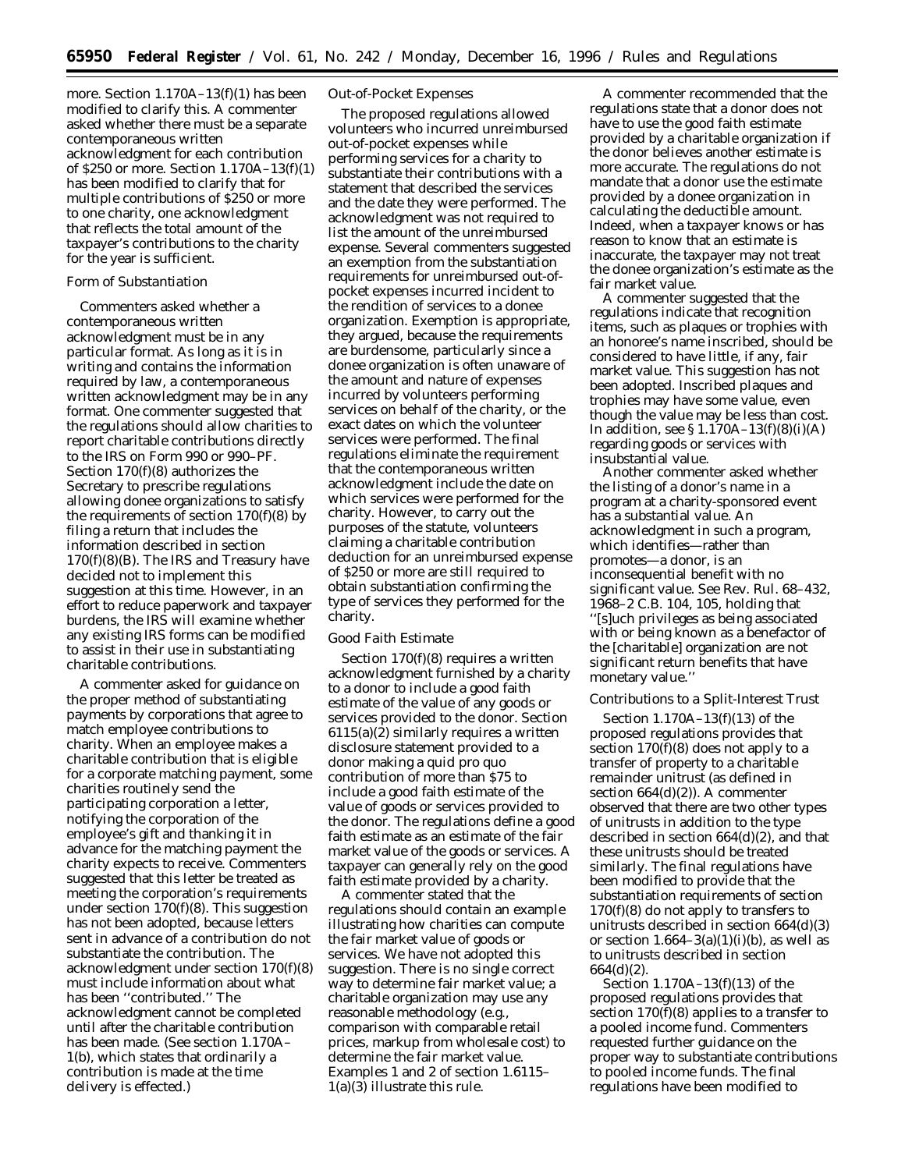more. Section 1.170A–13(f)(1) has been modified to clarify this. A commenter asked whether there must be a separate contemporaneous written acknowledgment for each contribution of \$250 or more. Section 1.170A–13(f)(1) has been modified to clarify that for multiple contributions of \$250 or more to one charity, one acknowledgment that reflects the total amount of the taxpayer's contributions to the charity for the year is sufficient.

## *Form of Substantiation*

Commenters asked whether a contemporaneous written acknowledgment must be in any particular format. As long as it is in writing and contains the information required by law, a contemporaneous written acknowledgment may be in any format. One commenter suggested that the regulations should allow charities to report charitable contributions directly to the IRS on Form 990 or 990–PF. Section 170(f)(8) authorizes the Secretary to prescribe regulations allowing donee organizations to satisfy the requirements of section  $170(f)(8)$  by filing a return that includes the information described in section  $170(f)(8)(B)$ . The IRS and Treasury have decided not to implement this suggestion at this time. However, in an effort to reduce paperwork and taxpayer burdens, the IRS will examine whether any existing IRS forms can be modified to assist in their use in substantiating charitable contributions.

A commenter asked for guidance on the proper method of substantiating payments by corporations that agree to match employee contributions to charity. When an employee makes a charitable contribution that is eligible for a corporate matching payment, some charities routinely send the participating corporation a letter, notifying the corporation of the employee's gift and thanking it in advance for the matching payment the charity expects to receive. Commenters suggested that this letter be treated as meeting the corporation's requirements under section 170(f)(8). This suggestion has not been adopted, because letters sent in advance of a contribution do not substantiate the contribution. The acknowledgment under section 170(f)(8) must include information about what has been ''contributed.'' The acknowledgment cannot be completed until after the charitable contribution has been made. (See section 1.170A– 1(b), which states that ordinarily a contribution is made at the time delivery is effected.)

## *Out-of-Pocket Expenses*

The proposed regulations allowed volunteers who incurred unreimbursed out-of-pocket expenses while performing services for a charity to substantiate their contributions with a statement that described the services and the date they were performed. The acknowledgment was not required to list the amount of the unreimbursed expense. Several commenters suggested an exemption from the substantiation requirements for unreimbursed out-ofpocket expenses incurred incident to the rendition of services to a donee organization. Exemption is appropriate, they argued, because the requirements are burdensome, particularly since a donee organization is often unaware of the amount and nature of expenses incurred by volunteers performing services on behalf of the charity, or the exact dates on which the volunteer services were performed. The final regulations eliminate the requirement that the contemporaneous written acknowledgment include the date on which services were performed for the charity. However, to carry out the purposes of the statute, volunteers claiming a charitable contribution deduction for an unreimbursed expense of \$250 or more are still required to obtain substantiation confirming the type of services they performed for the charity.

## *Good Faith Estimate*

Section  $170(f)(8)$  requires a written acknowledgment furnished by a charity to a donor to include a good faith estimate of the value of any goods or services provided to the donor. Section 6115(a)(2) similarly requires a written disclosure statement provided to a donor making a quid pro quo contribution of more than \$75 to include a good faith estimate of the value of goods or services provided to the donor. The regulations define a good faith estimate as an estimate of the fair market value of the goods or services. A taxpayer can generally rely on the good faith estimate provided by a charity.

A commenter stated that the regulations should contain an example illustrating how charities can compute the fair market value of goods or services. We have not adopted this suggestion. There is no single correct way to determine fair market value; a charitable organization may use any reasonable methodology (e.g., comparison with comparable retail prices, markup from wholesale cost) to determine the fair market value. Examples 1 and 2 of section 1.6115– 1(a)(3) illustrate this rule.

A commenter recommended that the regulations state that a donor does not have to use the good faith estimate provided by a charitable organization if the donor believes another estimate is more accurate. The regulations do not mandate that a donor use the estimate provided by a donee organization in calculating the deductible amount. Indeed, when a taxpayer knows or has reason to know that an estimate is inaccurate, the taxpayer may not treat the donee organization's estimate as the fair market value.

A commenter suggested that the regulations indicate that recognition items, such as plaques or trophies with an honoree's name inscribed, should be considered to have little, if any, fair market value. This suggestion has not been adopted. Inscribed plaques and trophies may have some value, even though the value may be less than cost. In addition, see § 1.170A–13(f)(8)(i)(A) regarding goods or services with insubstantial value.

Another commenter asked whether the listing of a donor's name in a program at a charity-sponsored event has a substantial value. An acknowledgment in such a program, which identifies—rather than promotes—a donor, is an inconsequential benefit with no significant value. See Rev. Rul. 68–432, 1968–2 C.B. 104, 105, holding that ''[s]uch privileges as being associated with or being known as a benefactor of the [charitable] organization are not significant return benefits that have monetary value.''

# *Contributions to a Split-Interest Trust*

Section 1.170A–13(f)(13) of the proposed regulations provides that section  $170(f)(8)$  does not apply to a transfer of property to a charitable remainder unitrust (as defined in section 664(d)(2)). A commenter observed that there are two other types of unitrusts in addition to the type described in section 664(d)(2), and that these unitrusts should be treated similarly. The final regulations have been modified to provide that the substantiation requirements of section 170(f)(8) do not apply to transfers to unitrusts described in section 664(d)(3) or section  $1.664-3(a)(1)(i)(b)$ , as well as to unitrusts described in section 664(d)(2).

Section 1.170A–13(f)(13) of the proposed regulations provides that section  $170(f)(8)$  applies to a transfer to a pooled income fund. Commenters requested further guidance on the proper way to substantiate contributions to pooled income funds. The final regulations have been modified to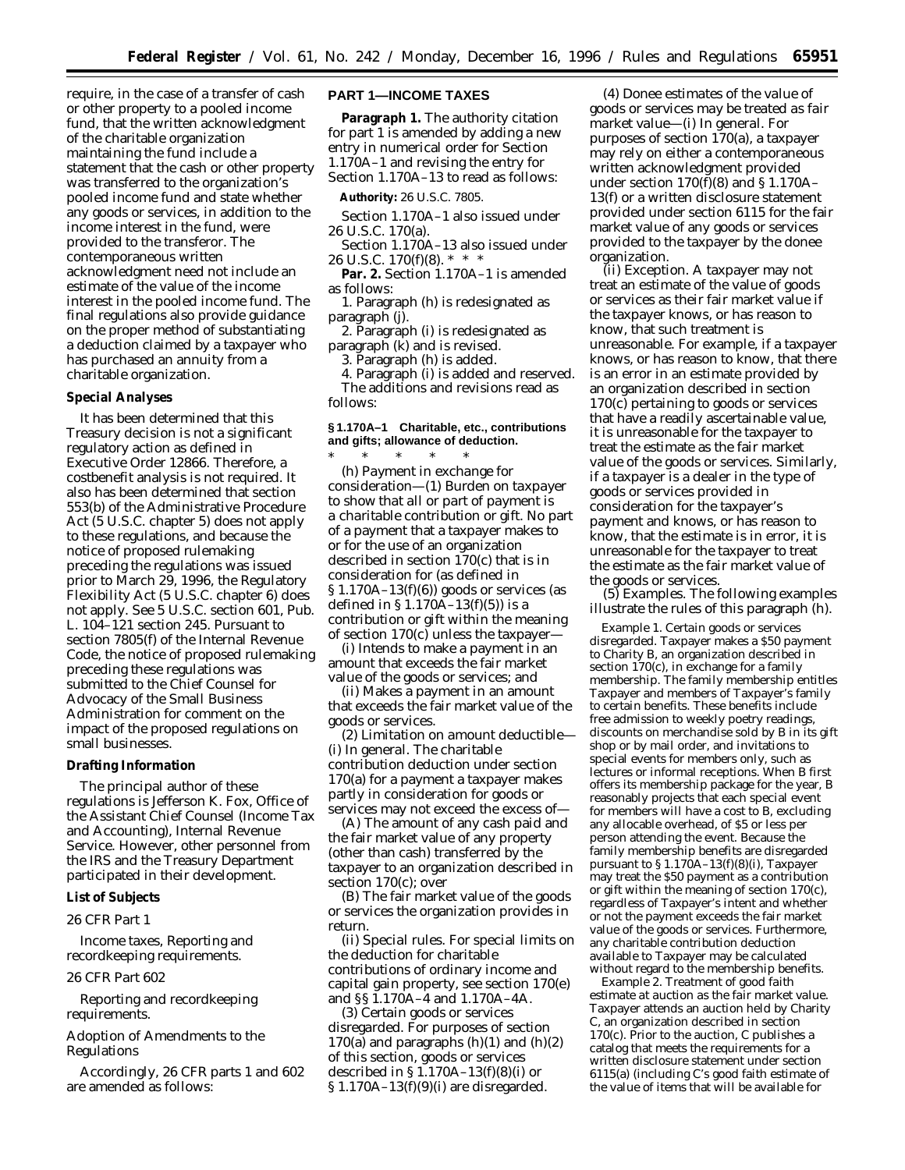require, in the case of a transfer of cash or other property to a pooled income fund, that the written acknowledgment of the charitable organization maintaining the fund include a statement that the cash or other property was transferred to the organization's pooled income fund and state whether any goods or services, in addition to the income interest in the fund, were provided to the transferor. The contemporaneous written acknowledgment need not include an estimate of the value of the income interest in the pooled income fund. The final regulations also provide guidance on the proper method of substantiating a deduction claimed by a taxpayer who has purchased an annuity from a charitable organization.

#### **Special Analyses**

It has been determined that this Treasury decision is not a significant regulatory action as defined in Executive Order 12866. Therefore, a costbenefit analysis is not required. It also has been determined that section 553(b) of the Administrative Procedure Act (5 U.S.C. chapter 5) does not apply to these regulations, and because the notice of proposed rulemaking preceding the regulations was issued prior to March 29, 1996, the Regulatory Flexibility Act (5 U.S.C. chapter 6) does not apply. See 5 U.S.C. section 601, Pub. L. 104–121 section 245. Pursuant to section 7805(f) of the Internal Revenue Code, the notice of proposed rulemaking preceding these regulations was submitted to the Chief Counsel for Advocacy of the Small Business Administration for comment on the impact of the proposed regulations on small businesses.

#### **Drafting Information**

The principal author of these regulations is Jefferson K. Fox, Office of the Assistant Chief Counsel (Income Tax and Accounting), Internal Revenue Service. However, other personnel from the IRS and the Treasury Department participated in their development.

### **List of Subjects**

# *26 CFR Part 1*

Income taxes, Reporting and recordkeeping requirements.

## *26 CFR Part 602*

Reporting and recordkeeping requirements.

Adoption of Amendments to the Regulations

Accordingly, 26 CFR parts 1 and 602 are amended as follows:

# **PART 1—INCOME TAXES**

**Paragraph 1.** The authority citation for part 1 is amended by adding a new entry in numerical order for Section 1.170A–1 and revising the entry for Section 1.170A–13 to read as follows:

**Authority:** 26 U.S.C. 7805.

- Section 1.170A–1 also issued under 26 U.S.C. 170(a).
- Section 1.170A–13 also issued under 26 U.S.C. 170(f)(8). \* \* \*

Par. 2. Section 1.170A-1 is amended as follows:

1. Paragraph (h) is redesignated as paragraph (j).

2. Paragraph (i) is redesignated as

paragraph (k) and is revised.

3. Paragraph (h) is added.

4. Paragraph (i) is added and reserved. The additions and revisions read as follows:

# **§ 1.170A–1 Charitable, etc., contributions and gifts; allowance of deduction.**

\* \* \* \* \* (h) *Payment in exchange for consideration*—(1) *Burden on taxpayer to show that all or part of payment is a charitable contribution or gift.* No part of a payment that a taxpayer makes to or for the use of an organization described in section 170(c) that is in consideration for (as defined in § 1.170A–13(f)(6)) goods or services (as defined in  $\S 1.170A - 13(f)(5)$  is a contribution or gift within the meaning of section 170(c) unless the taxpayer—

(i) Intends to make a payment in an amount that exceeds the fair market value of the goods or services; and

(ii) Makes a payment in an amount that exceeds the fair market value of the goods or services.

(2) *Limitation on amount deductible*— (i) *In general*. The charitable contribution deduction under section 170(a) for a payment a taxpayer makes partly in consideration for goods or services may not exceed the excess of—

(A) The amount of any cash paid and the fair market value of any property (other than cash) transferred by the taxpayer to an organization described in section 170(c); over

(B) The fair market value of the goods or services the organization provides in return.

(ii) *Special rules*. For special limits on the deduction for charitable contributions of ordinary income and capital gain property, see section 170(e) and §§ 1.170A–4 and 1.170A–4A.

(3) *Certain goods or services disregarded*. For purposes of section 170(a) and paragraphs  $(h)(1)$  and  $(h)(2)$ of this section, goods or services described in  $\S$ 1.170A–13(f)(8)(i) or § 1.170A–13(f)(9)(i) are disregarded.

(4) *Donee estimates of the value of goods or services may be treated as fair market value*—(i) *In general*. For purposes of section 170(a), a taxpayer may rely on either a contemporaneous written acknowledgment provided under section  $170(f)(8)$  and § 1.170A-13(f) or a written disclosure statement provided under section 6115 for the fair market value of any goods or services provided to the taxpayer by the donee organization.

(ii) *Exception*. A taxpayer may not treat an estimate of the value of goods or services as their fair market value if the taxpayer knows, or has reason to know, that such treatment is unreasonable. For example, if a taxpayer knows, or has reason to know, that there is an error in an estimate provided by an organization described in section 170(c) pertaining to goods or services that have a readily ascertainable value, it is unreasonable for the taxpayer to treat the estimate as the fair market value of the goods or services. Similarly, if a taxpayer is a dealer in the type of goods or services provided in consideration for the taxpayer's payment and knows, or has reason to know, that the estimate is in error, it is unreasonable for the taxpayer to treat the estimate as the fair market value of the goods or services.

(5) *Examples*. The following examples illustrate the rules of this paragraph (h).

*Example 1. Certain goods or services disregarded*. Taxpayer makes a \$50 payment to Charity B, an organization described in section 170(c), in exchange for a family membership. The family membership entitles Taxpayer and members of Taxpayer's family to certain benefits. These benefits include free admission to weekly poetry readings, discounts on merchandise sold by *B* in its gift shop or by mail order, and invitations to special events for members only, such as lectures or informal receptions. When *B* first offers its membership package for the year, *B* reasonably projects that each special event for members will have a cost to *B,* excluding any allocable overhead, of \$5 or less per person attending the event. Because the family membership benefits are disregarded pursuant to  $\S 1.170A-13(f)(8)(i)$ , Taxpayer may treat the \$50 payment as a contribution or gift within the meaning of section 170(c), regardless of Taxpayer's intent and whether or not the payment exceeds the fair market value of the goods or services. Furthermore, any charitable contribution deduction available to Taxpayer may be calculated without regard to the membership benefits.

*Example 2. Treatment of good faith estimate at auction as the fair market value*. Taxpayer attends an auction held by Charity *C,* an organization described in section 170(c). Prior to the auction, *C* publishes a catalog that meets the requirements for a written disclosure statement under section 6115(a) (including *C*'s good faith estimate of the value of items that will be available for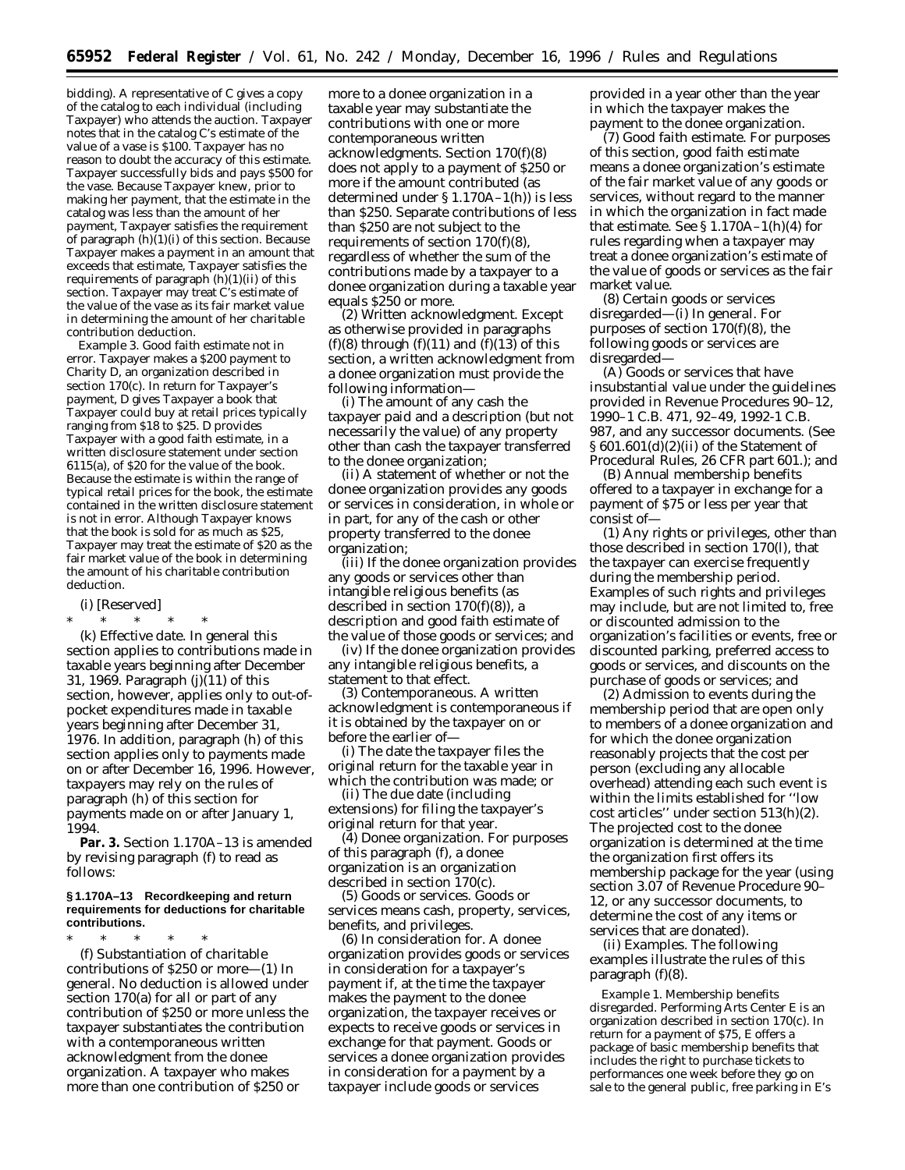bidding). A representative of *C* gives a copy of the catalog to each individual (including Taxpayer) who attends the auction. Taxpayer notes that in the catalog *C*'s estimate of the value of a vase is \$100. Taxpayer has no reason to doubt the accuracy of this estimate. Taxpayer successfully bids and pays \$500 for the vase. Because Taxpayer knew, prior to making her payment, that the estimate in the catalog was less than the amount of her payment, Taxpayer satisfies the requirement of paragraph  $(h)(1)(i)$  of this section. Because Taxpayer makes a payment in an amount that exceeds that estimate, Taxpayer satisfies the requirements of paragraph  $(h)(1)(ii)$  of this section. Taxpayer may treat *C*'s estimate of the value of the vase as its fair market value in determining the amount of her charitable contribution deduction.

*Example 3. Good faith estimate not in error.* Taxpayer makes a \$200 payment to Charity *D,* an organization described in section 170(c). In return for Taxpayer's payment, *D* gives Taxpayer a book that Taxpayer could buy at retail prices typically ranging from \$18 to \$25. *D* provides Taxpayer with a good faith estimate, in a written disclosure statement under section 6115(a), of \$20 for the value of the book. Because the estimate is within the range of typical retail prices for the book, the estimate contained in the written disclosure statement is not in error. Although Taxpayer knows that the book is sold for as much as \$25, Taxpayer may treat the estimate of \$20 as the fair market value of the book in determining the amount of his charitable contribution deduction.

#### (i) [Reserved]

\* \* \* \* \* (k) *Effective date.* In general this section applies to contributions made in taxable years beginning after December 31, 1969. Paragraph (j)(11) of this section, however, applies only to out-ofpocket expenditures made in taxable years beginning after December 31, 1976. In addition, paragraph (h) of this section applies only to payments made on or after December 16, 1996. However, taxpayers may rely on the rules of paragraph (h) of this section for payments made on or after January 1, 1994.

**Par. 3.** Section 1.170A–13 is amended by revising paragraph (f) to read as follows:

#### **§ 1.170A–13 Recordkeeping and return requirements for deductions for charitable contributions.**

\* \* \* \* \* (f) *Substantiation of charitable contributions of \$250 or more*—(1) *In general.* No deduction is allowed under section 170(a) for all or part of any contribution of \$250 or more unless the taxpayer substantiates the contribution with a contemporaneous written acknowledgment from the donee organization. A taxpayer who makes more than one contribution of \$250 or

more to a donee organization in a taxable year may substantiate the contributions with one or more contemporaneous written acknowledgments. Section 170(f)(8) does not apply to a payment of \$250 or more if the amount contributed (as determined under § 1.170A–1(h)) is less than \$250. Separate contributions of less than \$250 are not subject to the requirements of section 170(f)(8), regardless of whether the sum of the contributions made by a taxpayer to a donee organization during a taxable year equals \$250 or more.

(2) *Written acknowledgment.* Except as otherwise provided in paragraphs (f)(8) through (f)(11) and (f)(13) of this section, a written acknowledgment from a donee organization must provide the following information—

(i) The amount of any cash the taxpayer paid and a description (but not necessarily the value) of any property other than cash the taxpayer transferred to the donee organization;

(ii) A statement of whether or not the donee organization provides any goods or services in consideration, in whole or in part, for any of the cash or other property transferred to the donee organization;

(iii) If the donee organization provides any goods or services other than intangible religious benefits (as described in section 170(f)(8)), a description and good faith estimate of the value of those goods or services; and

(iv) If the donee organization provides any intangible religious benefits, a statement to that effect.

(3) *Contemporaneous.* A written acknowledgment is contemporaneous if it is obtained by the taxpayer on or before the earlier of—

(i) The date the taxpayer files the original return for the taxable year in which the contribution was made; or

(ii) The due date (including extensions) for filing the taxpayer's original return for that year.

(4) *Donee organization.* For purposes of this paragraph (f), a donee organization is an organization described in section 170(c).

(5) *Goods or services.* Goods or services means cash, property, services, benefits, and privileges.

(6) *In consideration for.* A donee organization provides goods or services in consideration for a taxpayer's payment if, at the time the taxpayer makes the payment to the donee organization, the taxpayer receives or expects to receive goods or services in exchange for that payment. Goods or services a donee organization provides in consideration for a payment by a taxpayer include goods or services

provided in a year other than the year in which the taxpayer makes the payment to the donee organization.

(7) *Good faith estimate.* For purposes of this section, good faith estimate means a donee organization's estimate of the fair market value of any goods or services, without regard to the manner in which the organization in fact made that estimate. See  $\S 1.170A-1(h)(4)$  for rules regarding when a taxpayer may treat a donee organization's estimate of the value of goods or services as the fair market value.

(8) *Certain goods or services disregarded*—(i) *In general.* For purposes of section 170(f)(8), the following goods or services are disregarded—

(A) Goods or services that have insubstantial value under the guidelines provided in Revenue Procedures 90–12, 1990–1 C.B. 471, 92–49, 1992-1 C.B. 987, and any successor documents. (See § 601.601(d)(2)(ii) of the Statement of Procedural Rules, 26 CFR part 601.); and

(B) Annual membership benefits offered to a taxpayer in exchange for a payment of \$75 or less per year that consist of—

(*1*) Any rights or privileges, other than those described in section 170(l), that the taxpayer can exercise frequently during the membership period. Examples of such rights and privileges may include, but are not limited to, free or discounted admission to the organization's facilities or events, free or discounted parking, preferred access to goods or services, and discounts on the purchase of goods or services; and

(*2*) Admission to events during the membership period that are open only to members of a donee organization and for which the donee organization reasonably projects that the cost per person (excluding any allocable overhead) attending each such event is within the limits established for ''low cost articles'' under section 513(h)(2). The projected cost to the donee organization is determined at the time the organization first offers its membership package for the year (using section 3.07 of Revenue Procedure 90– 12, or any successor documents, to determine the cost of any items or services that are donated).

(ii) *Examples.* The following examples illustrate the rules of this paragraph (f)(8).

*Example 1. Membership benefits disregarded.* Performing Arts Center *E* is an organization described in section 170(c). In return for a payment of \$75, *E* offers a package of basic membership benefits that includes the right to purchase tickets to performances one week before they go on sale to the general public, free parking in *E*'s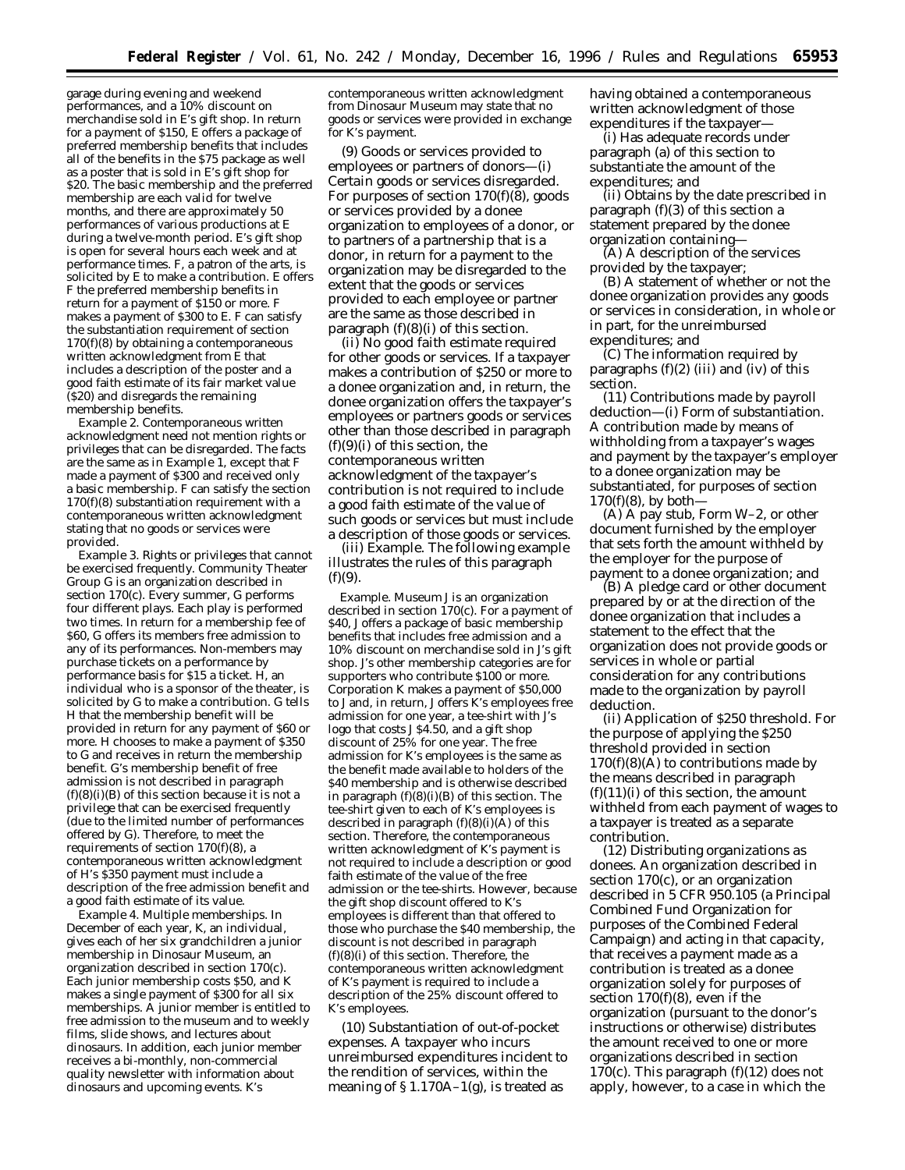garage during evening and weekend performances, and a 10% discount on merchandise sold in *E*'s gift shop. In return for a payment of \$150, *E* offers a package of preferred membership benefits that includes all of the benefits in the \$75 package as well as a poster that is sold in *E*'s gift shop for \$20. The basic membership and the preferred membership are each valid for twelve months, and there are approximately 50 performances of various productions at *E* during a twelve-month period. *E*'s gift shop is open for several hours each week and at performance times. *F*, a patron of the arts, is solicited by E to make a contribution. *E* offers *F* the preferred membership benefits in return for a payment of \$150 or more. *F* makes a payment of \$300 to *E. F* can satisfy the substantiation requirement of section 170(f)(8) by obtaining a contemporaneous written acknowledgment from *E* that includes a description of the poster and a good faith estimate of its fair market value (\$20) and disregards the remaining membership benefits.

*Example 2*. *Contemporaneous written acknowledgment need not mention rights or privileges that can be disregarded.* The facts are the same as in Example 1, except that *F* made a payment of \$300 and received only a basic membership. *F* can satisfy the section 170(f)(8) substantiation requirement with a contemporaneous written acknowledgment stating that no goods or services were provided.

*Example 3. Rights or privileges that cannot be exercised frequently.* Community Theater Group *G* is an organization described in section 170(c). Every summer, *G* performs four different plays. Each play is performed two times. In return for a membership fee of \$60, *G* offers its members free admission to any of its performances. Non-members may purchase tickets on a performance by performance basis for \$15 a ticket. *H,* an individual who is a sponsor of the theater, is solicited by *G* to make a contribution. *G* tells *H* that the membership benefit will be provided in return for any payment of \$60 or more. *H* chooses to make a payment of \$350 to *G* and receives in return the membership benefit. *G'*s membership benefit of free admission is not described in paragraph  $(f)(8)(i)(B)$  of this section because it is not a privilege that can be exercised frequently (due to the limited number of performances offered by *G*). Therefore, to meet the requirements of section 170(f)(8), a contemporaneous written acknowledgment of *H*'s \$350 payment must include a description of the free admission benefit and a good faith estimate of its value.

*Example 4. Multiple memberships.* In December of each year, *K*, an individual, gives each of her six grandchildren a junior membership in Dinosaur Museum, an organization described in section 170(c). Each junior membership costs \$50, and *K* makes a single payment of \$300 for all six memberships. A junior member is entitled to free admission to the museum and to weekly films, slide shows, and lectures about dinosaurs. In addition, each junior member receives a bi-monthly, non-commercial quality newsletter with information about dinosaurs and upcoming events. *K*'s

contemporaneous written acknowledgment from Dinosaur Museum may state that no goods or services were provided in exchange for *K*'s payment.

(9) *Goods or services provided to employees or partners of donors—*(i) *Certain goods or services disregarded.* For purposes of section 170(f)(8), goods or services provided by a donee organization to employees of a donor, or to partners of a partnership that is a donor, in return for a payment to the organization may be disregarded to the extent that the goods or services provided to each employee or partner are the same as those described in paragraph  $(f)(8)(i)$  of this section.

(ii) *No good faith estimate required for other goods or services.* If a taxpayer makes a contribution of \$250 or more to a donee organization and, in return, the donee organization offers the taxpayer's employees or partners goods or services other than those described in paragraph  $(f)(9)(i)$  of this section, the contemporaneous written acknowledgment of the taxpayer's contribution is not required to include a good faith estimate of the value of such goods or services but must include a description of those goods or services.

(iii) *Example.* The following example illustrates the rules of this paragraph  $(f)(9)$ .

*Example.* Museum *J* is an organization described in section 170(c). For a payment of \$40, *J* offers a package of basic membership benefits that includes free admission and a 10% discount on merchandise sold in *J*'s gift shop. *J*'s other membership categories are for supporters who contribute \$100 or more. Corporation *K* makes a payment of \$50,000 to *J* and, in return, *J* offers *K*'s employees free admission for one year, a tee-shirt with *J*'s logo that costs *J* \$4.50, and a gift shop discount of 25% for one year. The free admission for *K*'s employees is the same as the benefit made available to holders of the \$40 membership and is otherwise described in paragraph  $(f)(8)(i)(B)$  of this section. The tee-shirt given to each of *K*'s employees is described in paragraph  $(f)(8)(i)(\hat{A})$  of this section. Therefore, the contemporaneous written acknowledgment of *K*'s payment is not required to include a description or good faith estimate of the value of the free admission or the tee-shirts. However, because the gift shop discount offered to *K*'s employees is different than that offered to those who purchase the \$40 membership, the discount is not described in paragraph (f)(8)(i) of this section. Therefore, the contemporaneous written acknowledgment of *K*'s payment is required to include a description of the 25% discount offered to *K*'s employees.

(10) *Substantiation of out-of-pocket expenses.* A taxpayer who incurs unreimbursed expenditures incident to the rendition of services, within the meaning of  $\S 1.170A-1(g)$ , is treated as

having obtained a contemporaneous written acknowledgment of those expenditures if the taxpayer—

(i) Has adequate records under paragraph (a) of this section to substantiate the amount of the expenditures; and

(ii) Obtains by the date prescribed in paragraph  $(f)(3)$  of this section a statement prepared by the donee organization containing—

(A) A description of the services provided by the taxpayer;

(B) A statement of whether or not the donee organization provides any goods or services in consideration, in whole or in part, for the unreimbursed expenditures; and

(C) The information required by paragraphs  $(f)(2)$  (iii) and (iv) of this section.

(11) *Contributions made by payroll deduction*—(i) *Form of substantiation.* A contribution made by means of withholding from a taxpayer's wages and payment by the taxpayer's employer to a donee organization may be substantiated, for purposes of section  $170(f)(8)$ , by both-

(A) A pay stub, Form W–2, or other document furnished by the employer that sets forth the amount withheld by the employer for the purpose of payment to a donee organization; and

(B) A pledge card or other document prepared by or at the direction of the donee organization that includes a statement to the effect that the organization does not provide goods or services in whole or partial consideration for any contributions made to the organization by payroll deduction.

(ii) *Application of \$250 threshold.* For the purpose of applying the \$250 threshold provided in section  $170(f)(8)(A)$  to contributions made by the means described in paragraph  $(f)(11)(i)$  of this section, the amount withheld from each payment of wages to a taxpayer is treated as a separate contribution.

(12) *Distributing organizations as donees.* An organization described in section 170(c), or an organization described in 5 CFR 950.105 (a Principal Combined Fund Organization for purposes of the Combined Federal Campaign) and acting in that capacity, that receives a payment made as a contribution is treated as a donee organization solely for purposes of section 170(f)(8), even if the organization (pursuant to the donor's instructions or otherwise) distributes the amount received to one or more organizations described in section 170(c). This paragraph  $(f)(12)$  does not apply, however, to a case in which the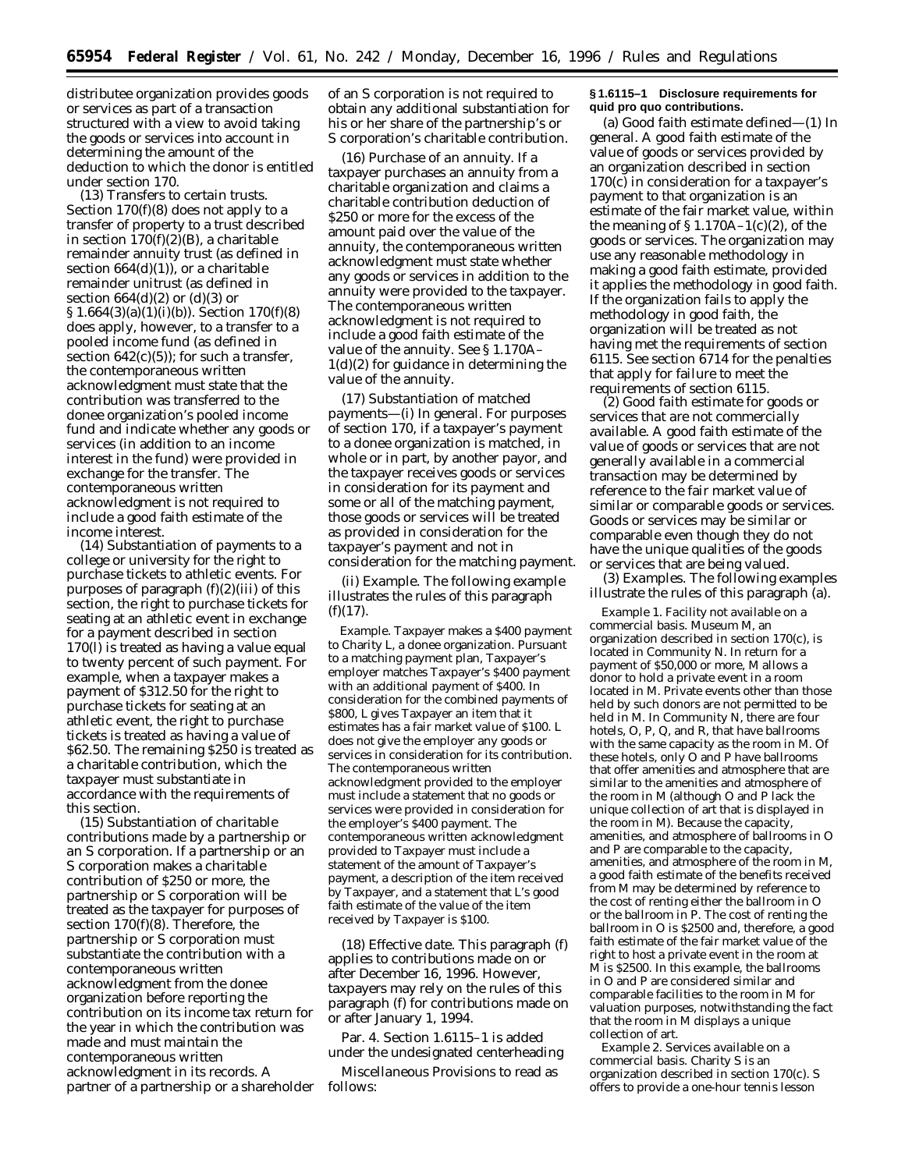distributee organization provides goods or services as part of a transaction structured with a view to avoid taking the goods or services into account in determining the amount of the deduction to which the donor is entitled under section 170.

(13) *Transfers to certain trusts.* Section  $170(f)(8)$  does not apply to a transfer of property to a trust described in section  $170(f)(2)(B)$ , a charitable remainder annuity trust (as defined in section  $664(d)(1)$ , or a charitable remainder unitrust (as defined in section  $664(d)(2)$  or  $(d)(3)$  or § 1.664(3)(a)(1)(i)(*b*)). Section 170(f)(8) does apply, however, to a transfer to a pooled income fund (as defined in section  $642(c)(5)$ ; for such a transfer, the contemporaneous written acknowledgment must state that the contribution was transferred to the donee organization's pooled income fund and indicate whether any goods or services (in addition to an income interest in the fund) were provided in exchange for the transfer. The contemporaneous written acknowledgment is not required to include a good faith estimate of the income interest.

(14) *Substantiation of payments to a college or university for the right to purchase tickets to athletic events.* For purposes of paragraph  $(f)(2)(iii)$  of this section, the right to purchase tickets for seating at an athletic event in exchange for a payment described in section 170(l) is treated as having a value equal to twenty percent of such payment. For example, when a taxpayer makes a payment of \$312.50 for the right to purchase tickets for seating at an athletic event, the right to purchase tickets is treated as having a value of \$62.50. The remaining \$250 is treated as a charitable contribution, which the taxpayer must substantiate in accordance with the requirements of this section.

(15) *Substantiation of charitable contributions made by a partnership or an S corporation.* If a partnership or an S corporation makes a charitable contribution of \$250 or more, the partnership or S corporation will be treated as the taxpayer for purposes of section 170(f)(8). Therefore, the partnership or S corporation must substantiate the contribution with a contemporaneous written acknowledgment from the donee organization before reporting the contribution on its income tax return for the year in which the contribution was made and must maintain the contemporaneous written acknowledgment in its records. A partner of a partnership or a shareholder of an S corporation is not required to obtain any additional substantiation for his or her share of the partnership's or S corporation's charitable contribution.

(16) *Purchase of an annuity.* If a taxpayer purchases an annuity from a charitable organization and claims a charitable contribution deduction of \$250 or more for the excess of the amount paid over the value of the annuity, the contemporaneous written acknowledgment must state whether any goods or services in addition to the annuity were provided to the taxpayer. The contemporaneous written acknowledgment is not required to include a good faith estimate of the value of the annuity. See § 1.170A– 1(d)(2) for guidance in determining the value of the annuity.

(17) *Substantiation of matched payments—*(i) *In general.* For purposes of section 170, if a taxpayer's payment to a donee organization is matched, in whole or in part, by another payor, and the taxpayer receives goods or services in consideration for its payment and some or all of the matching payment, those goods or services will be treated as provided in consideration for the taxpayer's payment and not in consideration for the matching payment.

(ii) *Example.* The following example illustrates the rules of this paragraph  $(f)(17)$ .

*Example.* Taxpayer makes a \$400 payment to Charity *L*, a donee organization. Pursuant to a matching payment plan, Taxpayer's employer matches Taxpayer's \$400 payment with an additional payment of \$400. In consideration for the combined payments of \$800, *L* gives Taxpayer an item that it estimates has a fair market value of \$100. *L* does not give the employer any goods or services in consideration for its contribution. The contemporaneous written acknowledgment provided to the employer must include a statement that no goods or services were provided in consideration for the employer's \$400 payment. The contemporaneous written acknowledgment provided to Taxpayer must include a statement of the amount of Taxpayer's payment, a description of the item received by Taxpayer, and a statement that *L*'s good faith estimate of the value of the item received by Taxpayer is \$100.

(18) *Effective date.* This paragraph (f) applies to contributions made on or after December 16, 1996. However, taxpayers may rely on the rules of this paragraph (f) for contributions made on or after January 1, 1994.

Par. 4. Section 1.6115–1 is added under the undesignated centerheading

*Miscellaneous Provisions* to read as follows:

#### **§ 1.6115–1 Disclosure requirements for quid pro quo contributions.**

(a) *Good faith estimate defined*—(1) *In general.* A good faith estimate of the value of goods or services provided by an organization described in section 170(c) in consideration for a taxpayer's payment to that organization is an estimate of the fair market value, within the meaning of  $\S 1.170A-1(c)(2)$ , of the goods or services. The organization may use any reasonable methodology in making a good faith estimate, provided it applies the methodology in good faith. If the organization fails to apply the methodology in good faith, the organization will be treated as not having met the requirements of section 6115. See section 6714 for the penalties that apply for failure to meet the requirements of section 6115.

(2) *Good faith estimate for goods or services that are not commercially available.* A good faith estimate of the value of goods or services that are not generally available in a commercial transaction may be determined by reference to the fair market value of similar or comparable goods or services. Goods or services may be similar or comparable even though they do not have the unique qualities of the goods or services that are being valued.

(3) *Examples.* The following examples illustrate the rules of this paragraph (a).

*Example 1. Facility not available on a commercial basis.* Museum *M*, an organization described in section 170(c), is located in Community *N*. In return for a payment of \$50,000 or more, *M* allows a donor to hold a private event in a room located in *M*. Private events other than those held by such donors are not permitted to be held in *M*. In Community *N*, there are four hotels, *O, P, Q,* and *R*, that have ballrooms with the same capacity as the room in *M*. Of these hotels, only *O* and *P* have ballrooms that offer amenities and atmosphere that are similar to the amenities and atmosphere of the room in *M* (although *O* and *P* lack the unique collection of art that is displayed in the room in *M*). Because the capacity, amenities, and atmosphere of ballrooms in *O* and *P* are comparable to the capacity, amenities, and atmosphere of the room in *M*, a good faith estimate of the benefits received from *M* may be determined by reference to the cost of renting either the ballroom in *O* or the ballroom in *P*. The cost of renting the ballroom in *O* is \$2500 and, therefore, a good faith estimate of the fair market value of the right to host a private event in the room at *M* is \$2500. In this example, the ballrooms in *O* and *P* are considered similar and comparable facilities to the room in *M* for valuation purposes, notwithstanding the fact that the room in *M* displays a unique collection of art.

*Example 2. Services available on a commercial basis.* Charity *S* is an organization described in section 170(c). *S* offers to provide a one-hour tennis lesson